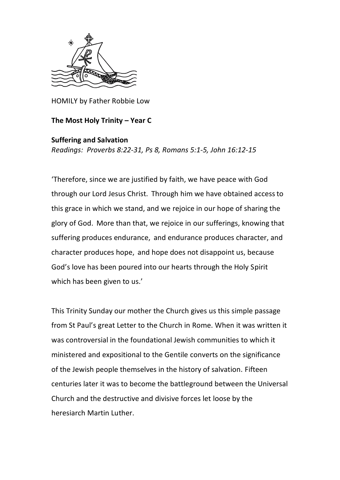

HOMILY by Father Robbie Low

## **The Most Holy Trinity – Year C**

## **Suffering and Salvation**

*Readings: Proverbs 8:22-31, Ps 8, Romans 5:1-5, John 16:12-15*

'Therefore, since we are justified by faith, we have peace with God through our Lord Jesus Christ. Through him we have obtained accessto this grace in which we stand, and we rejoice in our hope of sharing the glory of God. More than that, we rejoice in our sufferings, knowing that suffering produces endurance, and endurance produces character, and character produces hope, and hope does not disappoint us, because God's love has been poured into our hearts through the Holy Spirit which has been given to us.'

This Trinity Sunday our mother the Church gives us this simple passage from St Paul's great Letter to the Church in Rome. When it was written it was controversial in the foundational Jewish communities to which it ministered and expositional to the Gentile converts on the significance of the Jewish people themselves in the history of salvation. Fifteen centuries later it was to become the battleground between the Universal Church and the destructive and divisive forces let loose by the heresiarch Martin Luther.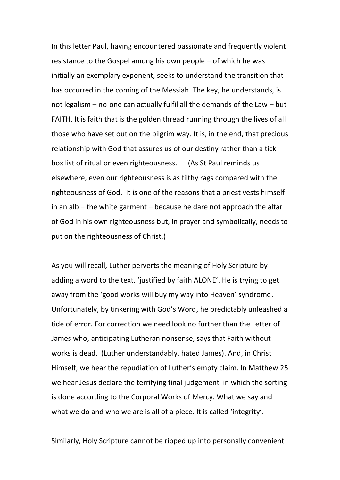In this letter Paul, having encountered passionate and frequently violent resistance to the Gospel among his own people – of which he was initially an exemplary exponent, seeks to understand the transition that has occurred in the coming of the Messiah. The key, he understands, is not legalism – no-one can actually fulfil all the demands of the Law – but FAITH. It is faith that is the golden thread running through the lives of all those who have set out on the pilgrim way. It is, in the end, that precious relationship with God that assures us of our destiny rather than a tick box list of ritual or even righteousness. (As St Paul reminds us elsewhere, even our righteousness is as filthy rags compared with the righteousness of God. It is one of the reasons that a priest vests himself in an alb – the white garment – because he dare not approach the altar of God in his own righteousness but, in prayer and symbolically, needs to put on the righteousness of Christ.)

As you will recall, Luther perverts the meaning of Holy Scripture by adding a word to the text. 'justified by faith ALONE'. He is trying to get away from the 'good works will buy my way into Heaven' syndrome. Unfortunately, by tinkering with God's Word, he predictably unleashed a tide of error. For correction we need look no further than the Letter of James who, anticipating Lutheran nonsense, says that Faith without works is dead. (Luther understandably, hated James). And, in Christ Himself, we hear the repudiation of Luther's empty claim. In Matthew 25 we hear Jesus declare the terrifying final judgement in which the sorting is done according to the Corporal Works of Mercy. What we say and what we do and who we are is all of a piece. It is called 'integrity'.

Similarly, Holy Scripture cannot be ripped up into personally convenient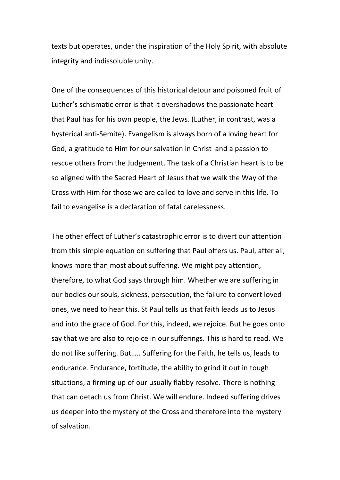texts but operates, under the inspiration of the Holy Spirit, with absolute integrity and indissoluble unity.

One of the consequences of this historical detour and poisoned fruit of Luther's schismatic error is that it overshadows the passionate heart that Paul has for his own people, the Jews. (Luther, in contrast, was a hysterical anti-Semite). Evangelism is always born of a loving heart for God, a gratitude to Him for our salvation in Christ and a passion to rescue others from the Judgement. The task of a Christian heart is to be so aligned with the Sacred Heart of Jesus that we walk the Way of the Cross with Him for those we are called to love and serve in this life. To fail to evangelise is a declaration of fatal carelessness.

The other effect of Luther's catastrophic error is to divert our attention from this simple equation on suffering that Paul offers us. Paul, after all, knows more than most about suffering. We might pay attention, therefore, to what God says through him. Whether we are suffering in our bodies our souls, sickness, persecution, the failure to convert loved ones, we need to hear this. St Paul tells us that faith leads us to Jesus and into the grace of God. For this, indeed, we rejoice. But he goes onto say that we are also to rejoice in our sufferings. This is hard to read. We do not like suffering. But….. Suffering for the Faith, he tells us, leads to endurance. Endurance, fortitude, the ability to grind it out in tough situations, a firming up of our usually flabby resolve. There is nothing that can detach us from Christ. We will endure. Indeed suffering drives us deeper into the mystery of the Cross and therefore into the mystery of salvation.